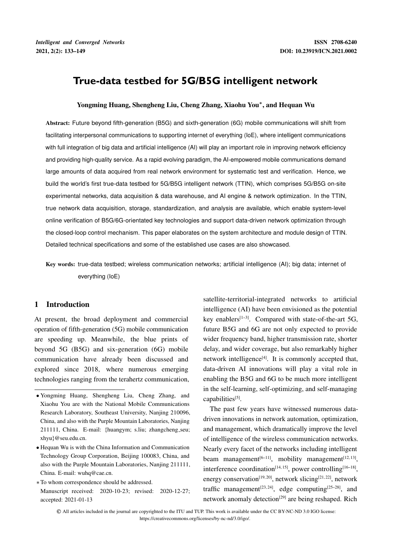# **True-data testbed for 5G/B5G intelligent network**

# blocked for the construction of the construction of the construction of the construction of the construction of the construction of the construction of the construction of the construction of the construction of the constr Yongming Huang, Shengheng Liu, Cheng Zhang, Xiaohu You , and Hequan Wu

facilitating interpersonal communications to supporting internet of everything (IoE), where intelligent communications **selection interaction mechanism** with full integration of big data and artificial intelligence (AI) will play an important role in improving network efficiency and providing high-quality service. As a rapid evolving paradigm, the AI-empowered mobile communications demand large amounts of data acquired from real network environment for systematic test and verification. Hence, we Abstract: Future beyond fifth-generation (B5G) and sixth-generation (6G) mobile communications will shift from build the world's first true-data testbed for 5G/B5G intelligent network (TTIN), which comprises 5G/B5G on-site experimental networks, data acquisition & data warehouse, and AI engine & network optimization. In the TTIN, true network data acquisition, storage, standardization, and analysis are available, which enable system-level online verification of B5G/6G-orientated key technologies and support data-driven network optimization through the closed-loop control mechanism. This paper elaborates on the system architecture and module design of TTIN. Detailed technical specifications and some of the established use cases are also showcased.

Key words: true-data testbed; wireless communication networks; artificial intelligence (AI); big data; internet of everything (IoE)

## 1 Introduction

At present, the broad deployment and commercial operation of fifth-generation (5G) mobile communication are speeding up. Meanwhile, the blue prints of beyond 5G (B5G) and six-generation (6G) mobile communication have already been discussed and explored since 2018, where numerous emerging technologies ranging from the terahertz communication, satellite-territorial-integrated networks to artificial intelligence (AI) have been envisioned as the potential key enablers<sup>[1-3]</sup>. Compared with state-of-the-art 5G, future B5G and 6G are not only expected to provide wider frequency band, higher transmission rate, shorter delay, and wider coverage, but also remarkably higher network intelligence $[4]$ . It is commonly accepted that, data-driven AI innovations will play a vital role in enabling the B5G and 6G to be much more intelligent in the self-learning, self-optimizing, and self-managing capabilities[5].

The past few years have witnessed numerous datadriven innovations in network automation, optimization, and management, which dramatically improve the level of intelligence of the wireless communication networks. Nearly every facet of the networks including intelligent beam management<sup>[6-11]</sup>, mobility management<sup>[12, 13]</sup>, interference coordination<sup>[14, 15]</sup>, power controlling<sup>[16-18]</sup>, energy conservation<sup>[19, 20]</sup>, network slicing<sup>[21, 22]</sup>, network traffic management<sup>[23, 24]</sup>, edge computing<sup>[25-28]</sup>, and network anomaly detection<sup>[29]</sup> are being reshaped. Rich

Yongming Huang, Shengheng Liu, Cheng Zhang, and Xiaohu You are with the National Mobile Communications Research Laboratory, Southeast University, Nanjing 210096, China, and also with the Purple Mountain Laboratories, Nanjing 211111, China. E-mail: fhuangym; s.liu; zhangcheng seu; xhyu}@seu.edu.cn.

Hequan Wu is with the China Information and Communication Technology Group Corporation, Beijing 100083, China, and also with the Purple Mountain Laboratories, Nanjing 211111, China. E-mail: wuhq@cae.cn.

To whom correspondence should be addressed. Manuscript received: 2020-10-23; revised: 2020-12-27; accepted: 2021-01-13

<sup>C</sup> All articles included in the journal are copyrighted to the ITU and TUP. This work is available under the CC BY-NC-ND 3.0 IGO license: https://creativecommons.org/licenses/by-nc-nd/3.0/igo/.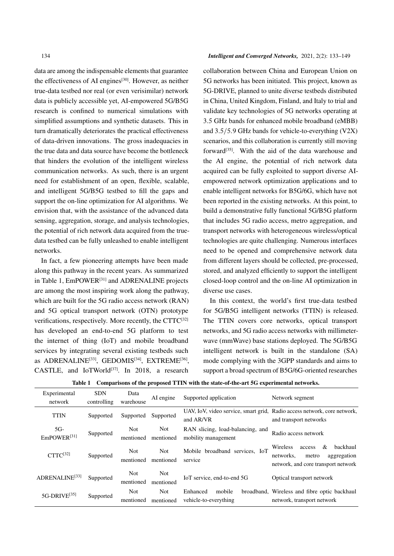data are among the indispensable elements that guarantee the effectiveness of AI engines<sup>[30]</sup>. However, as neither true-data testbed nor real (or even verisimilar) network data is publicly accessible yet, AI-empowered 5G/B5G research is confined to numerical simulations with simplified assumptions and synthetic datasets. This in turn dramatically deteriorates the practical effectiveness of data-driven innovations. The gross inadequacies in the true data and data source have become the bottleneck that hinders the evolution of the intelligent wireless communication networks. As such, there is an urgent need for establishment of an open, flexible, scalable, and intelligent 5G/B5G testbed to fill the gaps and support the on-line optimization for AI algorithms. We envision that, with the assistance of the advanced data sensing, aggregation, storage, and analysis technologies, the potential of rich network data acquired from the truedata testbed can be fully unleashed to enable intelligent networks.

In fact, a few pioneering attempts have been made along this pathway in the recent years. As summarized in Table 1, EmPOWER<sup>[31]</sup> and ADRENALINE projects are among the most inspiring work along the pathway, which are built for the 5G radio access network (RAN) and 5G optical transport network (OTN) prototype verifications, respectively. More recently, the  $CTTC^{[32]}$ has developed an end-to-end 5G platform to test the internet of thing (IoT) and mobile broadband services by integrating several existing testbeds such as ADRENALINE<sup>[33]</sup>, GEDOMIS<sup>[34]</sup>, EXTREME<sup>[36]</sup>, CASTLE, and IoTWorld<sup>[37]</sup>. In 2018, a research

## 134 *Intelligent and Converged Networks,* 2021, 2(2): 133–149

collaboration between China and European Union on 5G networks has been initiated. This project, known as 5G-DRIVE, planned to unite diverse testbeds distributed in China, United Kingdom, Finland, and Italy to trial and validate key technologies of 5G networks operating at 3:5 GHz bands for enhanced mobile broadband (eMBB) and  $3.5/5.9$  GHz bands for vehicle-to-everything (V2X) scenarios, and this collaboration is currently still moving forward[35]. With the aid of the data warehouse and the AI engine, the potential of rich network data acquired can be fully exploited to support diverse AIempowered network optimization applications and to enable intelligent networks for B5G/6G, which have not been reported in the existing networks. At this point, to build a demonstrative fully functional 5G/B5G platform that includes 5G radio access, metro aggregation, and transport networks with heterogeneous wireless/optical technologies are quite challenging. Numerous interfaces need to be opened and comprehensive network data from different layers should be collected, pre-processed, stored, and analyzed efficiently to support the intelligent closed-loop control and the on-line AI optimization in diverse use cases.

In this context, the world's first true-data testbed for 5G/B5G intelligent networks (TTIN) is released. The TTIN covers core networks, optical transport networks, and 5G radio access networks with millimeterwave (mmWave) base stations deployed. The 5G/B5G intelligent network is built in the standalone (SA) mode complying with the 3GPP standards and aims to support a broad spectrum of B5G/6G-oriented researches

| Experimental                     | <b>SDN</b>  | Data                    |                                    |                                                         |                                                                                                                 |  |
|----------------------------------|-------------|-------------------------|------------------------------------|---------------------------------------------------------|-----------------------------------------------------------------------------------------------------------------|--|
| network                          | controlling | warehouse               | Supported application<br>AI engine |                                                         | Network segment                                                                                                 |  |
| <b>TTIN</b>                      | Supported   | Supported               | Supported                          | and AR/VR                                               | UAV, IoV, video service, smart grid, Radio access network, core network,<br>and transport networks              |  |
| $5G-$<br>EmPOWER <sup>[31]</sup> | Supported   | Not<br>mentioned        | Not<br>mentioned                   | RAN slicing, load-balancing, and<br>mobility management | Radio access network                                                                                            |  |
| $CTTC^{[32]}$                    | Supported   | <b>Not</b><br>mentioned | <b>Not</b><br>mentioned            | Mobile broadband services. IoT<br>service               | backhaul<br>&<br>Wireless<br>access<br>aggregation<br>networks.<br>metro<br>network, and core transport network |  |
| ADRENALINE <sup>[33]</sup>       | Supported   | <b>Not</b><br>mentioned | Not<br>mentioned                   | IoT service, end-to-end 5G                              | Optical transport network                                                                                       |  |
| 5G-DRIVE <sup>[35]</sup>         | Supported   | <b>Not</b><br>mentioned | <b>Not</b><br>mentioned            | mobile<br>Enhanced<br>vehicle-to-everything             | broadband, Wireless and fibre optic backhaul<br>network, transport network                                      |  |

Table 1 Comparisons of the proposed TTIN with the state-of-the-art 5G experimental networks.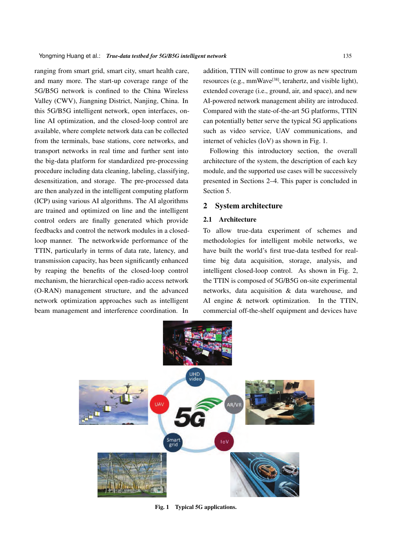ranging from smart grid, smart city, smart health care, and many more. The start-up coverage range of the 5G/B5G network is confined to the China Wireless Valley (CWV), Jiangning District, Nanjing, China. In this 5G/B5G intelligent network, open interfaces, online AI optimization, and the closed-loop control are available, where complete network data can be collected from the terminals, base stations, core networks, and transport networks in real time and further sent into the big-data platform for standardized pre-processing procedure including data cleaning, labeling, classifying, desensitization, and storage. The pre-processed data are then analyzed in the intelligent computing platform (ICP) using various AI algorithms. The AI algorithms are trained and optimized on line and the intelligent control orders are finally generated which provide feedbacks and control the network modules in a closedloop manner. The networkwide performance of the TTIN, particularly in terms of data rate, latency, and transmission capacity, has been significantly enhanced by reaping the benefits of the closed-loop control mechanism, the hierarchical open-radio access network (O-RAN) management structure, and the advanced network optimization approaches such as intelligent beam management and interference coordination. In

addition, TTIN will continue to grow as new spectrum resources (e.g., mmWave<sup>[38]</sup>, terahertz, and visible light), extended coverage (i.e., ground, air, and space), and new AI-powered network management ability are introduced. Compared with the state-of-the-art 5G platforms, TTIN can potentially better serve the typical 5G applications such as video service, UAV communications, and internet of vehicles (IoV) as shown in Fig. 1.

Following this introductory section, the overall architecture of the system, the description of each key module, and the supported use cases will be successively presented in Sections 2–4. This paper is concluded in Section 5.

# 2 System architecture

## 2.1 Architecture

To allow true-data experiment of schemes and methodologies for intelligent mobile networks, we have built the world's first true-data testbed for realtime big data acquisition, storage, analysis, and intelligent closed-loop control. As shown in Fig. 2, the TTIN is composed of 5G/B5G on-site experimental networks, data acquisition & data warehouse, and AI engine & network optimization. In the TTIN, commercial off-the-shelf equipment and devices have



Fig. 1 Typical 5G applications.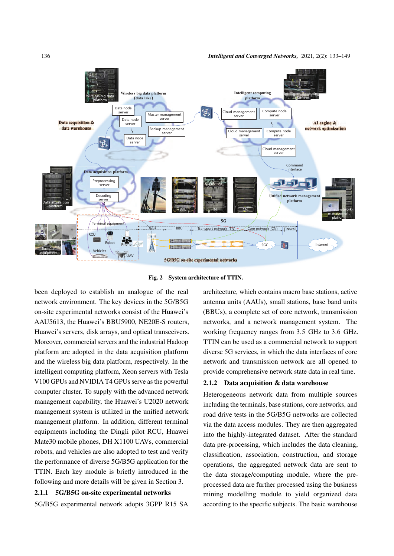

Fig. 2 System architecture of TTIN.

been deployed to establish an analogue of the real network environment. The key devices in the 5G/B5G on-site experimental networks consist of the Huawei's AAU5613, the Huawei's BBU5900, NE20E-S routers, Huawei's servers, disk arrays, and optical transceivers. Moreover, commercial servers and the industrial Hadoop platform are adopted in the data acquisition platform and the wireless big data platform, respectively. In the intelligent computing platform, Xeon servers with Tesla V100 GPUs and NVIDIA T4 GPUs serve as the powerful computer cluster. To supply with the advanced network management capability, the Huawei's U2020 network management system is utilized in the unified network management platform. In addition, different terminal equipments including the Dingli pilot RCU, Huawei Mate30 mobile phones, DH X1100 UAVs, commercial robots, and vehicles are also adopted to test and verify the performance of diverse 5G/B5G application for the TTIN. Each key module is briefly introduced in the following and more details will be given in Section 3.

#### 2.1.1 5G/B5G on-site experimental networks

5G/B5G experimental network adopts 3GPP R15 SA

architecture, which contains macro base stations, active antenna units (AAUs), small stations, base band units (BBUs), a complete set of core network, transmission networks, and a network management system. The working frequency ranges from 3:5 GHz to 3:6 GHz. TTIN can be used as a commercial network to support diverse 5G services, in which the data interfaces of core network and transmission network are all opened to provide comprehensive network state data in real time.

### 2.1.2 Data acquisition & data warehouse

Heterogeneous network data from multiple sources including the terminals, base stations, core networks, and road drive tests in the 5G/B5G networks are collected via the data access modules. They are then aggregated into the highly-integrated dataset. After the standard data pre-processing, which includes the data cleaning, classification, association, construction, and storage operations, the aggregated network data are sent to the data storage/computing module, where the preprocessed data are further processed using the business mining modelling module to yield organized data according to the specific subjects. The basic warehouse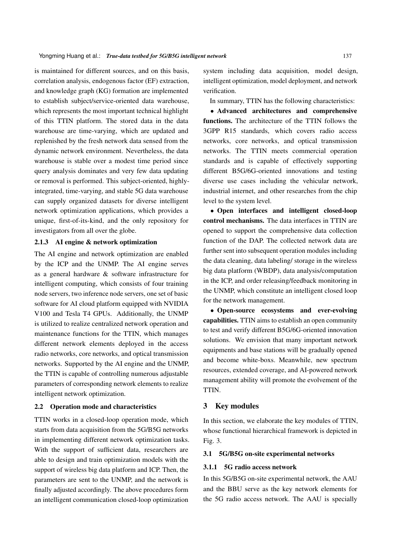is maintained for different sources, and on this basis, correlation analysis, endogenous factor (EF) extraction, and knowledge graph (KG) formation are implemented to establish subject/service-oriented data warehouse, which represents the most important technical highlight of this TTIN platform. The stored data in the data warehouse are time-varying, which are updated and replenished by the fresh network data sensed from the dynamic network environment. Nevertheless, the data warehouse is stable over a modest time period since query analysis dominates and very few data updating or removal is performed. This subject-oriented, highlyintegrated, time-varying, and stable 5G data warehouse can supply organized datasets for diverse intelligent network optimization applications, which provides a unique, first-of-its-kind, and the only repository for investigators from all over the globe.

# 2.1.3 AI engine & network optimization

The AI engine and network optimization are enabled by the ICP and the UNMP. The AI engine serves as a general hardware & software infrastructure for intelligent computing, which consists of four training node servers, two inference node servers, one set of basic software for AI cloud platform equipped with NVIDIA V100 and Tesla T4 GPUs. Additionally, the UNMP is utilized to realize centralized network operation and maintenance functions for the TTIN, which manages different network elements deployed in the access radio networks, core networks, and optical transmission networks. Supported by the AI engine and the UNMP, the TTIN is capable of controlling numerous adjustable parameters of corresponding network elements to realize intelligent network optimization.

## 2.2 Operation mode and characteristics

TTIN works in a closed-loop operation mode, which starts from data acquisition from the 5G/B5G networks in implementing different network optimization tasks. With the support of sufficient data, researchers are able to design and train optimization models with the support of wireless big data platform and ICP. Then, the parameters are sent to the UNMP, and the network is finally adjusted accordingly. The above procedures form an intelligent communication closed-loop optimization

system including data acquisition, model design, intelligent optimization, model deployment, and network verification.

In summary, TTIN has the following characteristics:

 Advanced architectures and comprehensive functions. The architecture of the TTIN follows the 3GPP R15 standards, which covers radio access networks, core networks, and optical transmission networks. The TTIN meets commercial operation standards and is capable of effectively supporting different B5G/6G-oriented innovations and testing diverse use cases including the vehicular network, industrial internet, and other researches from the chip level to the system level.

 Open interfaces and intelligent closed-loop control mechanisms. The data interfaces in TTIN are opened to support the comprehensive data collection function of the DAP. The collected network data are further sent into subsequent operation modules including the data cleaning, data labeling/ storage in the wireless big data platform (WBDP), data analysis/computation in the ICP, and order releasing/feedback monitoring in the UNMP, which constitute an intelligent closed loop for the network management.

 Open-source ecosystems and ever-evolving capabilities. TTIN aims to establish an open community to test and verify different B5G/6G-oriented innovation solutions. We envision that many important network equipments and base stations will be gradually opened and become white-boxs. Meanwhile, new spectrum resources, extended coverage, and AI-powered network management ability will promote the evolvement of the TTIN.

## 3 Key modules

In this section, we elaborate the key modules of TTIN, whose functional hierarchical framework is depicted in Fig. 3.

## 3.1 5G/B5G on-site experimental networks

## 3.1.1 5G radio access network

In this 5G/B5G on-site experimental network, the AAU and the BBU serve as the key network elements for the 5G radio access network. The AAU is specially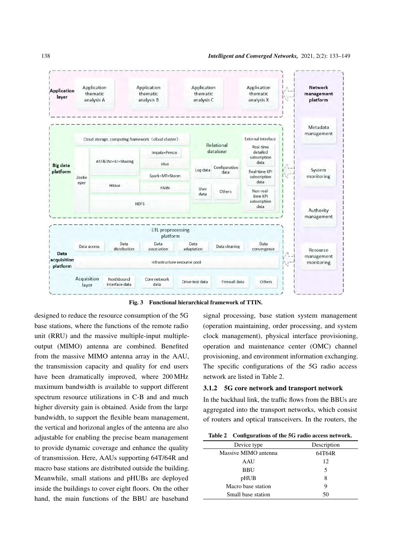

Fig. 3 Functional hierarchical framework of TTIN.

designed to reduce the resource consumption of the 5G base stations, where the functions of the remote radio unit (RRU) and the massive multiple-input multipleoutput (MIMO) antenna are combined. Benefited from the massive MIMO antenna array in the AAU, the transmission capacity and quality for end users have been dramatically improved, where 200 MHz maximum bandwidth is available to support different spectrum resource utilizations in C-B and and much higher diversity gain is obtained. Aside from the large bandwidth, to support the flexible beam management, the vertical and horizonal angles of the antenna are also adjustable for enabling the precise beam management to provide dynamic coverage and enhance the quality of transmission. Here, AAUs supporting 64T/64R and macro base stations are distributed outside the building. Meanwhile, small stations and pHUBs are deployed inside the buildings to cover eight floors. On the other hand, the main functions of the BBU are baseband

signal processing, base station system management (operation maintaining, order processing, and system clock management), physical interface provisioning, operation and maintenance center (OMC) channel provisioning, and environment information exchanging. The specific configurations of the 5G radio access network are listed in Table 2.

#### 3.1.2 5G core network and transport network

In the backhaul link, the traffic flows from the BBUs are aggregated into the transport networks, which consist of routers and optical transceivers. In the routers, the

|  | Table 2 Configurations of the 5G radio access network. |
|--|--------------------------------------------------------|
|--|--------------------------------------------------------|

| Device type          | Description |
|----------------------|-------------|
| Massive MIMO antenna | 64T64R      |
| AAU                  | 12          |
| <b>BBU</b>           | 5           |
| pHUB                 | 8           |
| Macro base station   | 9           |
| Small base station   | 50          |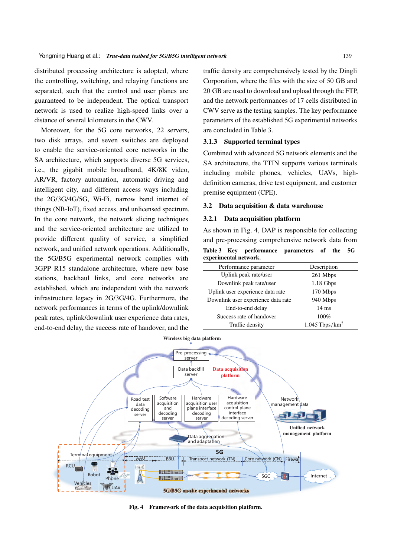distributed processing architecture is adopted, where the controlling, switching, and relaying functions are separated, such that the control and user planes are guaranteed to be independent. The optical transport network is used to realize high-speed links over a distance of several kilometers in the CWV.

Moreover, for the 5G core networks, 22 servers, two disk arrays, and seven switches are deployed to enable the service-oriented core networks in the SA architecture, which supports diverse 5G services, i.e., the gigabit mobile broadband, 4K/8K video, AR/VR, factory automation, automatic driving and intelligent city, and different access ways including the 2G/3G/4G/5G, Wi-Fi, narrow band internet of things (NB-IoT), fixed access, and unlicensed spectrum. In the core network, the network slicing techniques and the service-oriented architecture are utilized to provide different quality of service, a simplified network, and unified network operations. Additionally, the 5G/B5G experimental network complies with 3GPP R15 standalone architecture, where new base stations, backhaul links, and core networks are established, which are independent with the network infrastructure legacy in 2G/3G/4G. Furthermore, the network performances in terms of the uplink/downlink peak rates, uplink/downlink user experience data rates, end-to-end delay, the success rate of handover, and the

traffic density are comprehensively tested by the Dingli Corporation, where the files with the size of 50 GB and 20 GB are used to download and upload through the FTP, and the network performances of 17 cells distributed in CWV serve as the testing samples. The key performance parameters of the established 5G experimental networks are concluded in Table 3.

# 3.1.3 Supported terminal types

Combined with advanced 5G network elements and the SA architecture, the TTIN supports various terminals including mobile phones, vehicles, UAVs, highdefinition cameras, drive test equipment, and customer premise equipment (CPE).

#### 3.2 Data acquisition & data warehouse

#### 3.2.1 Data acquisition platform

As shown in Fig. 4, DAP is responsible for collecting and pre-processing comprehensive network data from Table 3 Key performance parameters of the 5G experimental network.

| Performance parameter              | Description                  |
|------------------------------------|------------------------------|
| Uplink peak rate/user              | 261 Mbps                     |
| Downlink peak rate/user            | 1.18 Gbps                    |
| Uplink user experience data rate   | 170 Mbps                     |
| Downlink user experience data rate | 940 Mbps                     |
| End-to-end delay                   | $14 \text{ ms}$              |
| Success rate of handover           | 100%                         |
| Traffic density                    | $1.045$ Tbps/km <sup>2</sup> |



Fig. 4 Framework of the data acquisition platform.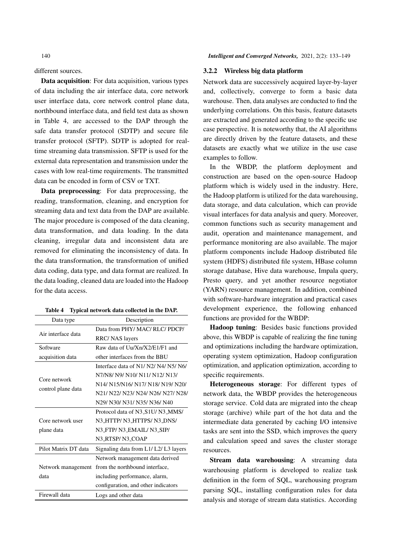different sources.

Data acquisition: For data acquisition, various types of data including the air interface data, core network user interface data, core network control plane data, northbound interface data, and field test data as shown in Table 4, are accessed to the DAP through the safe data transfer protocol (SDTP) and secure file transfer protocol (SFTP). SDTP is adopted for realtime streaming data transmission. SFTP is used for the external data representation and transmission under the cases with low real-time requirements. The transmitted data can be encoded in form of CSV or TXT.

Data preprocessing: For data preprocessing, the reading, transformation, cleaning, and encryption for streaming data and text data from the DAP are available. The major procedure is composed of the data cleaning, data transformation, and data loading. In the data cleaning, irregular data and inconsistent data are removed for eliminating the inconsistency of data. In the data transformation, the transformation of unified data coding, data type, and data format are realized. In the data loading, cleaned data are loaded into the Hadoop for the data access.

| Data type            | Description                         |
|----------------------|-------------------------------------|
| Air interface data   | Data from PHY/MAC/RLC/PDCP/         |
|                      | RRC/ NAS layers                     |
| Software             | Raw data of Uu/Xn/X2/E1/F1 and      |
| acquisition data     | other interfaces from the BBU       |
|                      | Interface data of N1/N2/N4/N5/N6/   |
| Core network         | N7/N8/ N9/ N10/ N11/ N12/ N13/      |
|                      | N14/ N15/N16/ N17/ N18/ N19/ N20/   |
| control plane data   | N21/ N22/ N23/ N24/ N26/ N27/ N28/  |
|                      | N29/ N30/ N31/ N35/ N36/ N40        |
|                      | Protocol data of N3 S1U/ N3 MMS/    |
| Core network user    | N3 HTTP/ N3 HTTPS/ N3 DNS/          |
| plane data           | N3_FTP/ N3_EMAIL/ N3_SIP/           |
|                      | N3_RTSP/N3_COAP                     |
| Pilot Matrix DT data | Signaling data from L1/L2/L3 layers |
|                      | Network management data derived     |
| Network management   | from the northbound interface,      |
| data                 | including performance, alarm,       |
|                      | configuration, and other indicators |
| Firewall data        | Logs and other data                 |

|  |  |  |  |  | Table 4 Typical network data collected in the DAP. |  |  |  |
|--|--|--|--|--|----------------------------------------------------|--|--|--|
|--|--|--|--|--|----------------------------------------------------|--|--|--|

## 3.2.2 Wireless big data platform

Network data are successively acquired layer-by-layer and, collectively, converge to form a basic data warehouse. Then, data analyses are conducted to find the underlying correlations. On this basis, feature datasets are extracted and generated according to the specific use case perspective. It is noteworthy that, the AI algorithms are directly driven by the feature datasets, and these datasets are exactly what we utilize in the use case examples to follow.

In the WBDP, the platform deployment and construction are based on the open-source Hadoop platform which is widely used in the industry. Here, the Hadoop platform is utilized for the data warehousing, data storage, and data calculation, which can provide visual interfaces for data analysis and query. Moreover, common functions such as security management and audit, operation and maintenance management, and performance monitoring are also available. The major platform components include Hadoop distributed file system (HDFS) distributed file system, HBase column storage database, Hive data warehouse, Impala query, Presto query, and yet another resource negotiator (YARN) resource management. In addition, combined with software-hardware integration and practical cases development experience, the following enhanced functions are provided for the WBDP:

Hadoop tuning: Besides basic functions provided above, this WBDP is capable of realizing the fine tuning and optimizations including the hardware optimization, operating system optimization, Hadoop configuration optimization, and application optimization, according to specific requirements.

Heterogeneous storage: For different types of network data, the WBDP provides the heterogeneous storage service. Cold data are migrated into the cheap storage (archive) while part of the hot data and the intermediate data generated by caching I/O intensive tasks are sent into the SSD, which improves the query and calculation speed and saves the cluster storage resources.

Stream data warehousing: A streaming data warehousing platform is developed to realize task definition in the form of SQL, warehousing program parsing SQL, installing configuration rules for data analysis and storage of stream data statistics. According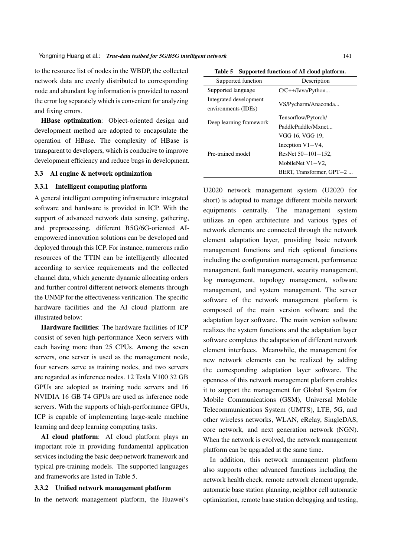to the resource list of nodes in the WBDP, the collected network data are evenly distributed to corresponding node and abundant log information is provided to record the error log separately which is convenient for analyzing and fixing errors.

HBase optimization: Object-oriented design and development method are adopted to encapsulate the operation of HBase. The complexity of HBase is transparent to developers, which is conducive to improve development efficiency and reduce bugs in development.

## 3.3 AI engine & network optimization

#### 3.3.1 Intelligent computing platform

A general intelligent computing infrastructure integrated software and hardware is provided in ICP. With the support of advanced network data sensing, gathering, and preprocessing, different B5G/6G-oriented AIempowered innovation solutions can be developed and deployed through this ICP. For instance, numerous radio resources of the TTIN can be intelligently allocated according to service requirements and the collected channel data, which generate dynamic allocating orders and further control different network elements through the UNMP for the effectiveness verification. The specific hardware facilities and the AI cloud platform are illustrated below:

Hardware facilities: The hardware facilities of ICP consist of seven high-performance Xeon servers with each having more than 25 CPUs. Among the seven servers, one server is used as the management node, four servers serve as training nodes, and two servers are regarded as inference nodes. 12 Tesla V100 32 GB GPUs are adopted as training node servers and 16 NVIDIA 16 GB T4 GPUs are used as inference node servers. With the supports of high-performance GPUs, ICP is capable of implementing large-scale machine learning and deep learning computing tasks.

AI cloud platform: AI cloud platform plays an important role in providing fundamental application services including the basic deep network framework and typical pre-training models. The supported languages and frameworks are listed in Table 5.

#### 3.3.2 Unified network management platform

In the network management platform, the Huawei's

Table 5 Supported functions of AI cloud platform.

| Supported function      | Description               |  |  |
|-------------------------|---------------------------|--|--|
| Supported language      | $C/C++/Java/Python$       |  |  |
| Integrated development  |                           |  |  |
| environments (IDEs)     | VS/Pycharm/Anaconda       |  |  |
|                         | Tensorflow/Pytorch/       |  |  |
| Deep learning framework | PaddlePaddle/Mxnet        |  |  |
|                         | VGG 16, VGG 19,           |  |  |
|                         | Inception $V1-V4$ ,       |  |  |
| Pre-trained model       | ResNet $50 - 101 - 152$ , |  |  |
|                         | MobileNet V1-V2,          |  |  |
|                         | BERT, Transformer, GPT-2  |  |  |

U2020 network management system (U2020 for short) is adopted to manage different mobile network equipments centrally. The management system utilizes an open architecture and various types of network elements are connected through the network element adaptation layer, providing basic network management functions and rich optional functions including the configuration management, performance management, fault management, security management, log management, topology management, software management, and system management. The server software of the network management platform is composed of the main version software and the adaptation layer software. The main version software realizes the system functions and the adaptation layer software completes the adaptation of different network element interfaces. Meanwhile, the management for new network elements can be realized by adding the corresponding adaptation layer software. The openness of this network management platform enables it to support the management for Global System for Mobile Communications (GSM), Universal Mobile Telecommunications System (UMTS), LTE, 5G, and other wireless networks, WLAN, eRelay, SingleDAS, core network, and next generation network (NGN). When the network is evolved, the network management platform can be upgraded at the same time.

In addition, this network management platform also supports other advanced functions including the network health check, remote network element upgrade, automatic base station planning, neighbor cell automatic optimization, remote base station debugging and testing,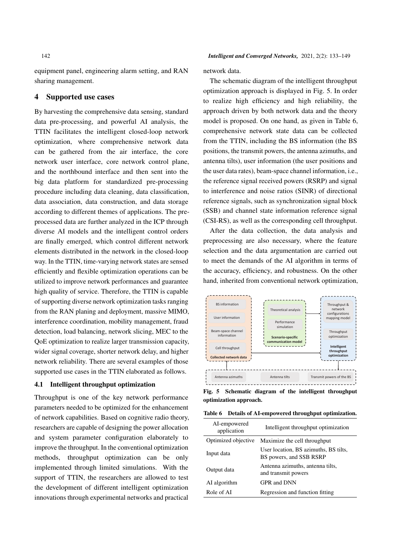equipment panel, engineering alarm setting, and RAN sharing management.

# 4 Supported use cases

By harvesting the comprehensive data sensing, standard data pre-processing, and powerful AI analysis, the TTIN facilitates the intelligent closed-loop network optimization, where comprehensive network data can be gathered from the air interface, the core network user interface, core network control plane, and the northbound interface and then sent into the big data platform for standardized pre-processing procedure including data cleaning, data classification, data association, data construction, and data storage according to different themes of applications. The preprocessed data are further analyzed in the ICP through diverse AI models and the intelligent control orders are finally emerged, which control different network elements distributed in the network in the closed-loop way. In the TTIN, time-varying network states are sensed efficiently and flexible optimization operations can be utilized to improve network performances and guarantee high quality of service. Therefore, the TTIN is capable of supporting diverse network optimization tasks ranging from the RAN planing and deployment, massive MIMO, interference coordination, mobility management, fraud detection, load balancing, network slicing, MEC to the QoE optimization to realize larger transmission capacity, wider signal coverage, shorter network delay, and higher network reliability. There are several examples of those supported use cases in the TTIN elaborated as follows.

## 4.1 Intelligent throughput optimization

Throughput is one of the key network performance parameters needed to be optimized for the enhancement of network capabilities. Based on cognitive radio theory, researchers are capable of designing the power allocation and system parameter configuration elaborately to improve the throughput. In the conventional optimization methods, throughput optimization can be only implemented through limited simulations. With the support of TTIN, the researchers are allowed to test the development of different intelligent optimization innovations through experimental networks and practical

network data.

The schematic diagram of the intelligent throughput optimization approach is displayed in Fig. 5. In order to realize high efficiency and high reliability, the approach driven by both network data and the theory model is proposed. On one hand, as given in Table 6, comprehensive network state data can be collected from the TTIN, including the BS information (the BS positions, the transmit powers, the antenna azimuths, and antenna tilts), user information (the user positions and the user data rates), beam-space channel information, i.e., the reference signal received powers (RSRP) and signal to interference and noise ratios (SINR) of directional reference signals, such as synchronization signal block (SSB) and channel state information reference signal (CSI-RS), as well as the corresponding cell throughput.

After the data collection, the data analysis and preprocessing are also necessary, where the feature selection and the data argumentation are carried out to meet the demands of the AI algorithm in terms of the accuracy, efficiency, and robustness. On the other hand, inherited from conventional network optimization,



Fig. 5 Schematic diagram of the intelligent throughput optimization approach.

|  | Table 6 Details of AI-empowered throughput optimization. |  |  |  |
|--|----------------------------------------------------------|--|--|--|
|--|----------------------------------------------------------|--|--|--|

| AI-empowered<br>application | Intelligent throughput optimization                              |
|-----------------------------|------------------------------------------------------------------|
| Optimized objective         | Maximize the cell throughput                                     |
| Input data                  | User location, BS azimuths, BS tilts,<br>BS powers, and SSB RSRP |
| Output data                 | Antenna azimuths, antenna tilts,<br>and transmit powers          |
| AI algorithm                | GPR and DNN                                                      |
| Role of AI                  | Regression and function fitting                                  |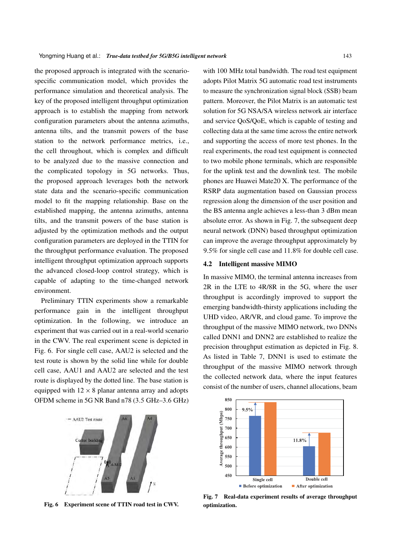the proposed approach is integrated with the scenariospecific communication model, which provides the performance simulation and theoretical analysis. The key of the proposed intelligent throughput optimization approach is to establish the mapping from network configuration parameters about the antenna azimuths, antenna tilts, and the transmit powers of the base station to the network performance metrics, i.e., the cell throughout, which is complex and difficult to be analyzed due to the massive connection and the complicated topology in 5G networks. Thus, the proposed approach leverages both the network state data and the scenario-specific communication model to fit the mapping relationship. Base on the established mapping, the antenna azimuths, antenna tilts, and the transmit powers of the base station is adjusted by the optimization methods and the output configuration parameters are deployed in the TTIN for the throughput performance evaluation. The proposed intelligent throughput optimization approach supports the advanced closed-loop control strategy, which is capable of adapting to the time-changed network environment.

Preliminary TTIN experiments show a remarkable performance gain in the intelligent throughput optimization. In the following, we introduce an experiment that was carried out in a real-world scenario in the CWV. The real experiment scene is depicted in Fig. 6. For single cell case, AAU2 is selected and the test route is shown by the solid line while for double cell case, AAU1 and AAU2 are selected and the test route is displayed by the dotted line. The base station is equipped with  $12 \times 8$  planar antenna array and adopts OFDM scheme in 5G NR Band n78 (3:5 GHz–3:6 GHz)



Fig. 6 Experiment scene of TTIN road test in CWV.

with 100 MHz total bandwidth. The road test equipment adopts Pilot Matrix 5G automatic road test instruments to measure the synchronization signal block (SSB) beam pattern. Moreover, the Pilot Matrix is an automatic test solution for 5G NSA/SA wireless network air interface and service QoS/QoE, which is capable of testing and collecting data at the same time across the entire network and supporting the access of more test phones. In the real experiments, the road test equipment is connected to two mobile phone terminals, which are responsible for the uplink test and the downlink test. The mobile phones are Huawei Mate20 X. The performance of the RSRP data augmentation based on Gaussian process regression along the dimension of the user position and the BS antenna angle achieves a less-than 3 dBm mean absolute error. As shown in Fig. 7, the subsequent deep neural network (DNN) based throughput optimization can improve the average throughput approximately by 9:5% for single cell case and 11:8% for double cell case.

### 4.2 Intelligent massive MIMO

In massive MIMO, the terminal antenna increases from 2R in the LTE to 4R/8R in the 5G, where the user throughput is accordingly improved to support the emerging bandwidth-thirsty applications including the UHD video, AR/VR, and cloud game. To improve the throughput of the massive MIMO network, two DNNs called DNN1 and DNN2 are established to realize the precision throughput estimation as depicted in Fig. 8. As listed in Table 7, DNN1 is used to estimate the throughput of the massive MIMO network through the collected network data, where the input features consist of the number of users, channel allocations, beam



Fig. 7 Real-data experiment results of average throughput optimization.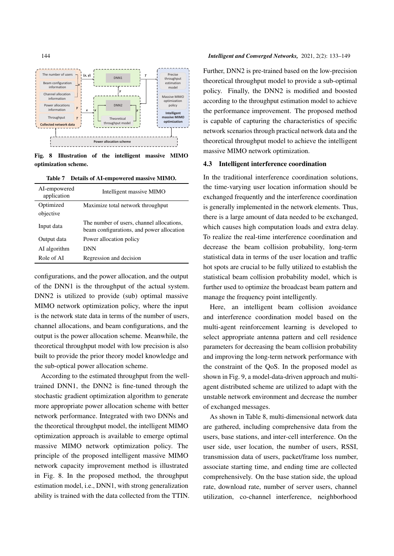

Fig. 8 Illustration of the intelligent massive MIMO optimization scheme.

Table 7 Details of AI-empowered massive MIMO.

| AI-empowered<br>application | Intelligent massive MIMO                                                               |
|-----------------------------|----------------------------------------------------------------------------------------|
| Optimized                   | Maximize total network throughput                                                      |
| objective                   |                                                                                        |
| Input data                  | The number of users, channel allocations,<br>beam configurations, and power allocation |
| Output data                 | Power allocation policy                                                                |
| AI algorithm                | DNN                                                                                    |
| Role of AI                  | Regression and decision                                                                |

configurations, and the power allocation, and the output of the DNN1 is the throughput of the actual system. DNN2 is utilized to provide (sub) optimal massive MIMO network optimization policy, where the input is the network state data in terms of the number of users, channel allocations, and beam configurations, and the output is the power allocation scheme. Meanwhile, the theoretical throughput model with low precision is also built to provide the prior theory model knowledge and the sub-optical power allocation scheme.

According to the estimated throughput from the welltrained DNN1, the DNN2 is fine-tuned through the stochastic gradient optimization algorithm to generate more appropriate power allocation scheme with better network performance. Integrated with two DNNs and the theoretical throughput model, the intelligent MIMO optimization approach is available to emerge optimal massive MIMO network optimization policy. The principle of the proposed intelligent massive MIMO network capacity improvement method is illustrated in Fig. 8. In the proposed method, the throughput estimation model, i.e., DNN1, with strong generalization ability is trained with the data collected from the TTIN.

#### 144 *Intelligent and Converged Networks,* 2021, 2(2): 133–149

Further, DNN2 is pre-trained based on the low-precision theoretical throughput model to provide a sub-optimal policy. Finally, the DNN2 is modified and boosted according to the throughput estimation model to achieve the performance improvement. The proposed method is capable of capturing the characteristics of specific network scenarios through practical network data and the theoretical throughput model to achieve the intelligent massive MIMO network optimization.

## 4.3 Intelligent interference coordination

In the traditional interference coordination solutions, the time-varying user location information should be exchanged frequently and the interference coordination is generally implemented in the network elements. Thus, there is a large amount of data needed to be exchanged, which causes high computation loads and extra delay. To realize the real-time interference coordination and decrease the beam collision probability, long-term statistical data in terms of the user location and traffic hot spots are crucial to be fully utilized to establish the statistical beam collision probability model, which is further used to optimize the broadcast beam pattern and manage the frequency point intelligently.

Here, an intelligent beam collision avoidance and interference coordination model based on the multi-agent reinforcement learning is developed to select appropriate antenna pattern and cell residence parameters for decreasing the beam collision probability and improving the long-term network performance with the constraint of the QoS. In the proposed model as shown in Fig. 9, a model-data-driven approach and multiagent distributed scheme are utilized to adapt with the unstable network environment and decrease the number of exchanged messages.

As shown in Table 8, multi-dimensional network data are gathered, including comprehensive data from the users, base stations, and inter-cell interference. On the user side, user location, the number of users, RSSI, transmission data of users, packet/frame loss number, associate starting time, and ending time are collected comprehensively. On the base station side, the upload rate, download rate, number of server users, channel utilization, co-channel interference, neighborhood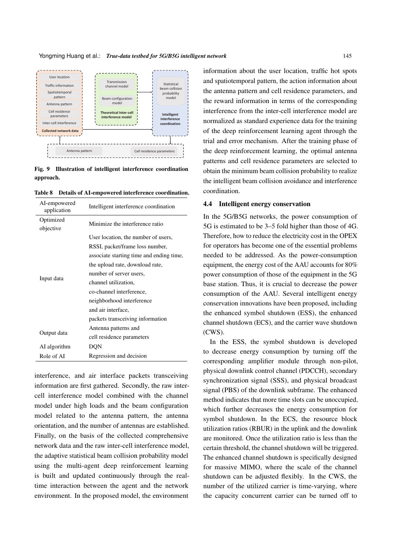

Fig. 9 Illustration of intelligent interference coordination approach.

Table 8 Details of AI-empowered interference coordination.

| AI-empowered<br>application | Intelligent interference coordination    |
|-----------------------------|------------------------------------------|
| Optimized<br>objective      | Minimize the interference ratio          |
|                             | User location, the number of users,      |
|                             | RSSI, packet/frame loss number,          |
|                             | associate starting time and ending time, |
|                             | the upload rate, download rate,          |
| Input data                  | number of server users,                  |
|                             | channel utilization,                     |
|                             | co-channel interference,                 |
|                             | neighborhood interference                |
|                             | and air interface.                       |
|                             | packets transceiving information         |
| Output data                 | Antenna patterns and                     |
|                             | cell residence parameters                |
| AI algorithm                | DQN                                      |
| Role of AI                  | Regression and decision                  |

interference, and air interface packets transceiving information are first gathered. Secondly, the raw intercell interference model combined with the channel model under high loads and the beam configuration model related to the antenna pattern, the antenna orientation, and the number of antennas are established. Finally, on the basis of the collected comprehensive network data and the raw inter-cell interference model, the adaptive statistical beam collision probability model using the multi-agent deep reinforcement learning is built and updated continuously through the realtime interaction between the agent and the network environment. In the proposed model, the environment

information about the user location, traffic hot spots and spatiotemporal pattern, the action information about the antenna pattern and cell residence parameters, and the reward information in terms of the corresponding interference from the inter-cell interference model are normalized as standard experience data for the training of the deep reinforcement learning agent through the trial and error mechanism. After the training phase of the deep reinforcement learning, the optimal antenna patterns and cell residence parameters are selected to obtain the minimum beam collision probability to realize the intelligent beam collision avoidance and interference coordination.

#### 4.4 Intelligent energy conservation

In the 5G/B5G networks, the power consumption of 5G is estimated to be 3–5 fold higher than those of 4G. Therefore, how to reduce the electricity cost in the OPEX for operators has become one of the essential problems needed to be addressed. As the power-consumption equipment, the energy cost of the AAU accounts for 80% power consumption of those of the equipment in the 5G base station. Thus, it is crucial to decrease the power consumption of the AAU. Several intelligent energy conservation innovations have been proposed, including the enhanced symbol shutdown (ESS), the enhanced channel shutdown (ECS), and the carrier wave shutdown (CWS).

In the ESS, the symbol shutdown is developed to decrease energy consumption by turning off the corresponding amplifier module through non-pilot, physical downlink control channel (PDCCH), secondary synchronization signal (SSS), and physical broadcast signal (PBS) of the downlink subframe. The enhanced method indicates that more time slots can be unoccupied, which further decreases the energy consumption for symbol shutdown. In the ECS, the resource block utilization ratios (RBUR) in the uplink and the downlink are monitored. Once the utilization ratio is less than the certain threshold, the channel shutdown will be triggered. The enhanced channel shutdown is specifically designed for massive MIMO, where the scale of the channel shutdown can be adjusted flexibly. In the CWS, the number of the utilized carrier is time-varying, where the capacity concurrent carrier can be turned off to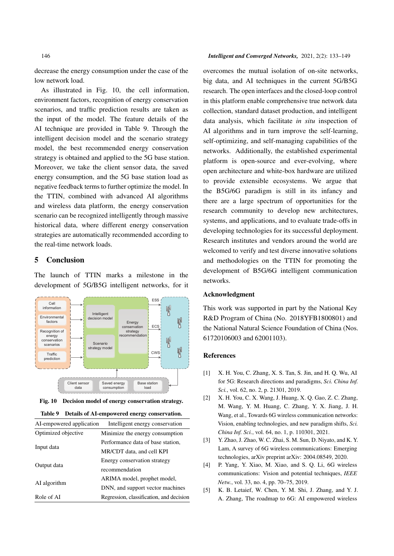decrease the energy consumption under the case of the low network load.

As illustrated in Fig. 10, the cell information, environment factors, recognition of energy conservation scenarios, and traffic prediction results are taken as the input of the model. The feature details of the AI technique are provided in Table 9. Through the intelligent decision model and the scenario strategy model, the best recommended energy conservation strategy is obtained and applied to the 5G base station. Moreover, we take the client sensor data, the saved energy consumption, and the 5G base station load as negative feedback terms to further optimize the model. In the TTIN, combined with advanced AI algorithms and wireless data platform, the energy conservation scenario can be recognized intelligently through massive historical data, where different energy conservation strategies are automatically recommended according to the real-time network loads.

# 5 Conclusion

The launch of TTIN marks a milestone in the development of 5G/B5G intelligent networks, for it





#### Table 9 Details of AI-empowered energy conservation.

| AI-empowered application | Intelligent energy conservation          |
|--------------------------|------------------------------------------|
| Optimized objective      | Minimize the energy consumption          |
| Input data               | Performance data of base station,        |
|                          | MR/CDT data, and cell KPI                |
| Output data              | Energy conservation strategy             |
|                          | recommendation                           |
| AI algorithm             | ARIMA model, prophet model,              |
|                          | DNN, and support vector machines         |
| Role of AI               | Regression, classification, and decision |

#### 146 *Intelligent and Converged Networks,* 2021, 2(2): 133–149

overcomes the mutual isolation of on-site networks, big data, and AI techniques in the current 5G/B5G research. The open interfaces and the closed-loop control in this platform enable comprehensive true network data collection, standard dataset production, and intelligent data analysis, which facilitate *in situ* inspection of AI algorithms and in turn improve the self-learning, self-optimizing, and self-managing capabilities of the networks. Additionally, the established experimental platform is open-source and ever-evolving, where open architecture and white-box hardware are utilized to provide extensible ecosystems. We argue that the B5G/6G paradigm is still in its infancy and there are a large spectrum of opportunities for the research community to develop new architectures, systems, and applications, and to evaluate trade-offs in developing technologies for its successful deployment. Research institutes and vendors around the world are welcomed to verify and test diverse innovative solutions and methodologies on the TTIN for promoting the development of B5G/6G intelligent communication networks.

#### Acknowledgment

This work was supported in part by the National Key R&D Program of China (No. 2018YFB1800801) and the National Natural Science Foundation of China (Nos. 61720106003 and 62001103).

#### References

- [1] X. H. You, C. Zhang, X. S. Tan, S. Jin, and H. Q. Wu, AI for 5G: Research directions and paradigms, *Sci. China Inf. Sci.*, vol. 62, no. 2, p. 21301, 2019.
- [2] X. H. You, C. X. Wang, J. Huang, X. Q. Gao, Z. C. Zhang, M. Wang, Y. M. Huang, C. Zhang, Y. X. Jiang, J. H. Wang, et al., Towards 6G wireless communication networks: Vision, enabling technologies, and new paradigm shifts, *Sci. China Inf. Sci.*, vol. 64, no. 1, p. 110301, 2021.
- [3] Y. Zhao, J. Zhao, W. C. Zhai, S. M. Sun, D. Niyato, and K. Y. Lam, A survey of 6G wireless communications: Emerging technologies, arXiv preprint arXiv: 2004.08549, 2020.
- [4] P. Yang, Y. Xiao, M. Xiao, and S. Q. Li, 6G wireless communications: Vision and potential techniques, *IEEE Netw.*, vol. 33, no. 4, pp. 70–75, 2019.
- [5] K. B. Letaief, W. Chen, Y. M. Shi, J. Zhang, and Y. J. A. Zhang, The roadmap to 6G: AI empowered wireless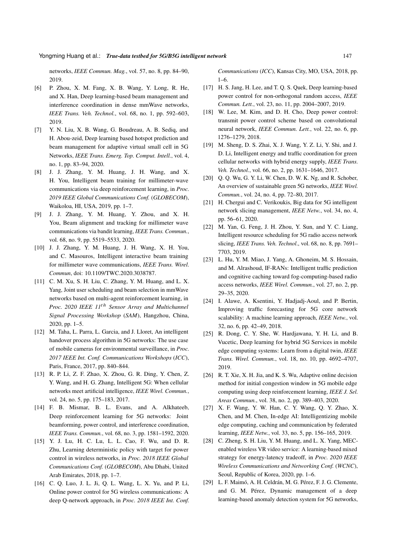networks, *IEEE Commun. Mag.*, vol. 57, no. 8, pp. 84–90, 2019.

- [6] P. Zhou, X. M. Fang, X. B. Wang, Y. Long, R. He, and X. Han, Deep learning-based beam management and interference coordination in dense mmWave networks, *IEEE Trans. Veh. Technol.*, vol. 68, no. 1, pp. 592–603, 2019.
- [7] Y. N. Liu, X. B. Wang, G. Boudreau, A. B. Sediq, and H. Abou-zeid, Deep learning based hotspot prediction and beam management for adaptive virtual small cell in 5G Networks, *IEEE Trans. Emerg. Top. Comput. Intell.*, vol. 4, no. 1, pp. 83–94, 2020.
- [8] J. J. Zhang, Y. M. Huang, J. H. Wang, and X. H. You, Intelligent beam training for millimeter-wave communications via deep reinforcement learning, in *Proc. 2019 IEEE Global Communications Conf.* (*GLOBECOM*), Waikoloa, HI, USA, 2019, pp. 1–7.
- [9] J. J. Zhang, Y. M. Huang, Y. Zhou, and X. H. You, Beam alignment and tracking for millimeter wave communications via bandit learning, *IEEE Trans. Commun.*, vol. 68, no. 9, pp. 5519–5533, 2020.
- [10] J. J. Zhang, Y. M. Huang, J. H. Wang, X. H. You, and C. Masouros, Intelligent interactive beam training for millimeter wave communications, *IEEE Trans. Wirel. Commun*, doi: 10.1109/TWC.2020.3038787.
- [11] C. M. Xu, S. H. Liu, C. Zhang, Y. M. Huang, and L. X. Yang, Joint user scheduling and beam selection in mmWave networks based on multi-agent reinforcement learning, in *Proc. 2020 IEEE 11*th *Sensor Array and Multichannel Signal Processing Workshop* (*SAM*), Hangzhou, China, 2020, pp. 1–5.
- [12] M. Taha, L. Parra, L. Garcia, and J. Lloret, An intelligent handover process algorithm in 5G networks: The use case of mobile cameras for environmental surveillance, in *Proc. 2017 IEEE Int. Conf. Communications Workshops* (*ICC*), Paris, France, 2017, pp. 840–844.
- [13] R. P. Li, Z. F. Zhao, X. Zhou, G. R. Ding, Y. Chen, Z. Y. Wang, and H. G. Zhang, Intelligent 5G: When cellular networks meet artificial intelligence, *IEEE Wirel. Commun.*, vol. 24, no. 5, pp. 175–183, 2017.
- [14] F. B. Mismar, B. L. Evans, and A. Alkhateeb, Deep reinforcement learning for 5G networks: Joint beamforming, power control, and interference coordination, *IEEE Trans. Commun.*, vol. 68, no. 3, pp. 1581–1592, 2020.
- [15] Y. J. Lu, H. C. Lu, L. L. Cao, F. Wu, and D. R. Zhu, Learning deterministic policy with target for power control in wireless networks, in *Proc. 2018 IEEE Global Communications Conf.* (*GLOBECOM*), Abu Dhabi, United Arab Emirates, 2018, pp. 1–7.
- [16] C. Q. Luo, J. L. Ji, Q. L. Wang, L. X. Yu, and P. Li, Online power control for 5G wireless communications: A deep Q-network approach, in *Proc. 2018 IEEE Int. Conf.*

*Communications* (*ICC*), Kansas City, MO, USA, 2018, pp. 1–6.

- [17] H. S. Jang, H. Lee, and T. Q. S. Quek, Deep learning-based power control for non-orthogonal random access, *IEEE Commun. Lett.*, vol. 23, no. 11, pp. 2004–2007, 2019.
- [18] W. Lee, M. Kim, and D. H. Cho, Deep power control: transmit power control scheme based on convolutional neural network, *IEEE Commun. Lett.*, vol. 22, no. 6, pp. 1276–1279, 2018.
- [19] M. Sheng, D. S. Zhai, X. J. Wang, Y. Z. Li, Y. Shi, and J. D. Li, Intelligent energy and traffic coordination for green cellular networks with hybrid energy supply, *IEEE Trans. Veh. Technol.*, vol. 66, no. 2, pp. 1631–1646, 2017.
- [20] Q. Q. Wu, G. Y. Li, W. Chen, D. W. K. Ng, and R. Schober, An overview of sustainable green 5G networks, *IEEE Wirel. Commun.*, vol. 24, no. 4, pp. 72–80, 2017.
- [21] H. Chergui and C. Verikoukis, Big data for 5G intelligent network slicing management, *IEEE Netw.*, vol. 34, no. 4, pp. 56–61, 2020.
- [22] M. Yan, G. Feng, J. H. Zhou, Y. Sun, and Y. C. Liang, Intelligent resource scheduling for 5G radio access network slicing, *IEEE Trans. Veh. Technol*., vol. 68, no. 8, pp. 7691– 7703, 2019.
- [23] L. Hu, Y. M. Miao, J. Yang, A. Ghoneim, M. S. Hossain, and M. Alrashoud, IF-RANs: Intelligent traffic prediction and cognitive caching toward fog-computing-based radio access networks, *IEEE Wirel. Commun.*, vol. 27, no. 2, pp. 29–35, 2020.
- [24] I. Alawe, A. Ksentini, Y. Hadjadj-Aoul, and P. Bertin, Improving traffic forecasting for 5G core network scalability: A machine learning approach, *IEEE Netw.*, vol. 32, no. 6, pp. 42–49, 2018.
- [25] R. Dong, C. Y. She, W. Hardjawana, Y. H. Li, and B. Vucetic, Deep learning for hybrid 5G Services in mobile edge computing systems: Learn from a digital twin, *IEEE Trans. Wirel. Commun.*, vol. 18, no. 10, pp. 4692–4707, 2019.
- [26] R. T. Xie, X. H. Jia, and K. S. Wu, Adaptive online decision method for initial congestion window in 5G mobile edge computing using deep reinforcement learning, *IEEE J. Sel. Areas Commun.*, vol. 38, no. 2, pp. 389–403, 2020.
- [27] X. F. Wang, Y. W. Han, C. Y. Wang, Q. Y. Zhao, X. Chen, and M. Chen, In-edge AI: Intelligentizing mobile edge computing, caching and communication by federated learning, *IEEE Netw.*, vol. 33, no. 5, pp. 156–165, 2019.
- [28] C. Zheng, S. H. Liu, Y. M. Huang, and L. X. Yang, MECenabled wireless VR video service: A learning-based mixed strategy for energy-latency tradeoff, in *Proc. 2020 IEEE Wireless Communications and Networking Conf.* (*WCNC*), Seoul, Republic of Korea, 2020, pp. 1–6.
- [29] L. F. Maimó, A. H. Celdrán, M. G. Pérez, F. J. G. Clemente, and G. M. Pérez, Dynamic management of a deep learning-based anomaly detection system for 5G networks,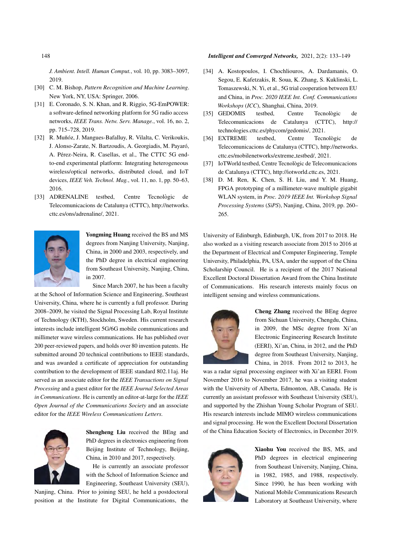## 148 *Intelligent and Converged Networks,* 2021, 2(2): 133–149

*J. Ambient. Intell. Human Comput.*, vol. 10, pp. 3083–3097, 2019.

- [30] C. M. Bishop, *Pattern Recognition and Machine Learning*. New York, NY, USA: Springer, 2006.
- [31] E. Coronado, S. N. Khan, and R. Riggio, 5G-EmPOWER: a software-defined networking platform for 5G radio access networks, *IEEE Trans. Netw. Serv. Manage.*, vol. 16, no. 2, pp. 715–728, 2019.
- [32] R. Muñóz, J. Mangues-Bafalluy, R. Vilalta, C. Verikoukis, J. Alonso-Zarate, N. Bartzoudis, A. Georgiadis, M. Payaro,´ A. Pérez-Neira, R. Casellas, et al., The CTTC 5G endto-end experimental platform: Integrating heterogeneous wireless/optical networks, distributed cloud, and IoT devices, *IEEE Veh. Technol. Mag.*, vol. 11, no. 1, pp. 50–63, 2016.
- [33] ADRENALINE testbed, Centre Tecnològic de Telecomunicacions de Catalunya (CTTC), http://networks. cttc.es/ons/adrenaline/, 2021.



Yongming Huang received the BS and MS degrees from Nanjing University, Nanjing, China, in 2000 and 2003, respectively, and the PhD degree in electrical engineering from Southeast University, Nanjing, China, in 2007.

Since March 2007, he has been a faculty

at the School of Information Science and Engineering, Southeast University, China, where he is currently a full professor. During 2008–2009, he visited the Signal Processing Lab, Royal Institute of Technology (KTH), Stockholm, Sweden. His current research interests include intelligent 5G/6G mobile communications and millimeter wave wireless communications. He has published over 200 peer-reviewed papers, and holds over 80 invention patents. He submitted around 20 technical contributions to IEEE standards, and was awarded a certificate of appreciation for outstanding contribution to the development of IEEE standard 802.11aj. He served as an associate editor for the *IEEE Transactions on Signal Processing* and a guest editor for the *IEEE Journal Selected Areas in Communications*. He is currently an editor-at-large for the *IEEE Open Journal of the Communications Society* and an associate editor for the *IEEE Wireless Communications Letters*.



Shengheng Liu received the BEng and PhD degrees in electronics engineering from Beijing Institute of Technology, Beijing, China, in 2010 and 2017, respectively.

He is currently an associate professor with the School of Information Science and Engineering, Southeast University (SEU),

Nanjing, China. Prior to joining SEU, he held a postdoctoral position at the Institute for Digital Communications, the

- [34] A. Kostopoulos, I. Chochliouros, A. Dardamanis, O. Segou, E. Kafetzakis, R. Soua, K. Zhang, S. Kuklinski, L. Tomaszewski, N. Yi, et al., 5G trial cooperation between EU and China, in *Proc. 2020 IEEE Int. Conf. Communications Workshops* (*ICC*), Shanghai, China, 2019.
- [35] GEDOMIS testbed, Centre Tecnològic de Telecomunicacions de Catalunya (CTTC), http:// technologies.cttc.es/phycom/gedomis/, 2021.
- [36] EXTREME testbed, Centre Tecnològic de Telecomunicacions de Catalunya (CTTC), http://networks. cttc.es/mobilenetworks/extreme testbed/, 2021.
- [37] IoTWorld testbed, Centre Tecnològic de Telecomunicacions de Catalunya (CTTC), http://iotworld.cttc.es, 2021.
- [38] D. M. Ren, K. Chen, S. H. Liu, and Y. M. Huang, FPGA prototyping of a millimeter-wave multiple gigabit WLAN system, in *Proc. 2019 IEEE Int. Workshop Signal Processing Systems* (*SiPS*), Nanjing, China, 2019, pp. 260– 265.

University of Edinburgh, Edinburgh, UK, from 2017 to 2018. He also worked as a visiting research associate from 2015 to 2016 at the Department of Electrical and Computer Engineering, Temple University, Philadelphia, PA, USA, under the support of the China Scholarship Council. He is a recipient of the 2017 National Excellent Doctoral Dissertation Award from the China Institute of Communications. His research interests mainly focus on intelligent sensing and wireless communications.



Cheng Zhang received the BEng degree from Sichuan University, Chengdu, China, in 2009, the MSc degree from Xi'an Electronic Engineering Research Institute (EERI), Xi'an, China, in 2012, and the PhD degree from Southeast University, Nanjing, China, in 2018. From 2012 to 2013, he

was a radar signal processing engineer with Xi'an EERI. From November 2016 to November 2017, he was a visiting student with the University of Alberta, Edmonton, AB, Canada. He is currently an assistant professor with Southeast University (SEU), and supported by the Zhishan Young Scholar Program of SEU. His research interests include MIMO wireless communications and signal processing. He won the Excellent Doctoral Dissertation of the China Education Society of Electronics, in December 2019.



Xiaohu You received the BS, MS, and PhD degrees in electrical engineering from Southeast University, Nanjing, China, in 1982, 1985, and 1988, respectively. Since 1990, he has been working with National Mobile Communications Research Laboratory at Southeast University, where